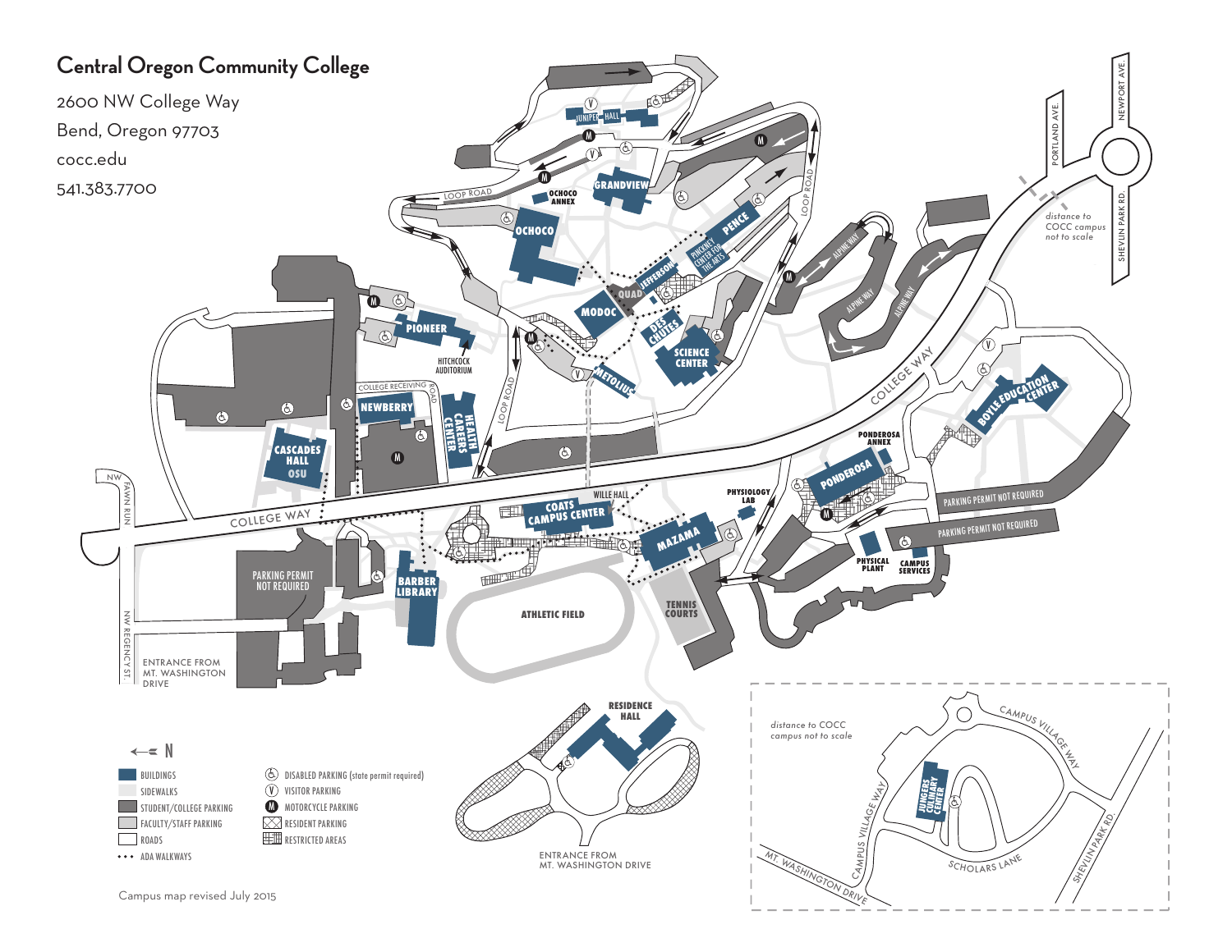